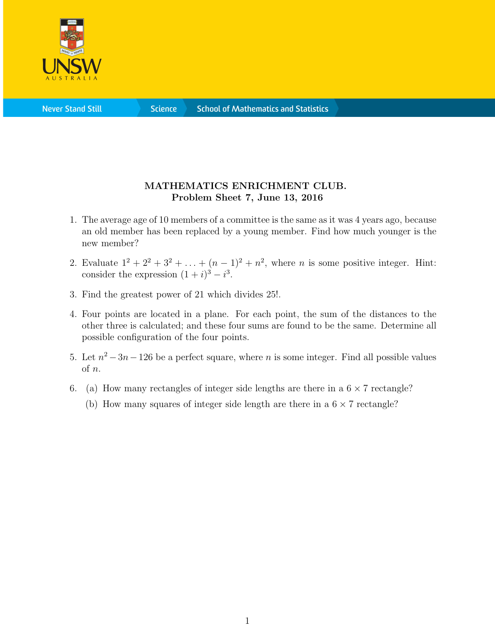

**Science** 

## MATHEMATICS ENRICHMENT CLUB. Problem Sheet 7, June 13, 2016

- 1. The average age of 10 members of a committee is the same as it was 4 years ago, because an old member has been replaced by a young member. Find how much younger is the new member?
- 2. Evaluate  $1^2 + 2^2 + 3^2 + ... + (n-1)^2 + n^2$ , where *n* is some positive integer. Hint: consider the expression  $(1+i)^3 - i^3$ .
- 3. Find the greatest power of 21 which divides 25!.
- 4. Four points are located in a plane. For each point, the sum of the distances to the other three is calculated; and these four sums are found to be the same. Determine all possible configuration of the four points.
- 5. Let  $n^2 3n 126$  be a perfect square, where n is some integer. Find all possible values of n.
- 6. (a) How many rectangles of integer side lengths are there in a  $6 \times 7$  rectangle?
	- (b) How many squares of integer side length are there in a  $6 \times 7$  rectangle?